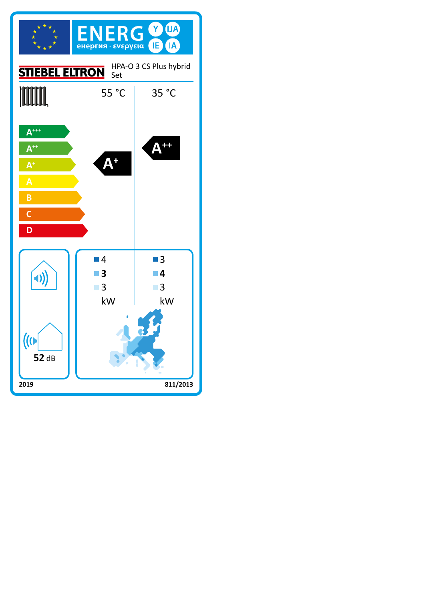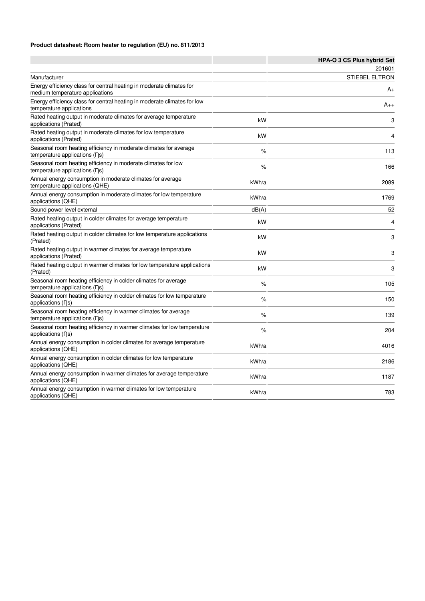### **Product datasheet: Room heater to regulation (EU) no. 811/2013**

|                                                                                                                    |       | HPA-O 3 CS Plus hybrid Set |
|--------------------------------------------------------------------------------------------------------------------|-------|----------------------------|
|                                                                                                                    |       | 201601                     |
| Manufacturer                                                                                                       |       | <b>STIEBEL ELTRON</b>      |
| Energy efficiency class for central heating in moderate climates for<br>medium temperature applications            |       | A+                         |
| Energy efficiency class for central heating in moderate climates for low<br>temperature applications               |       | $A_{++}$                   |
| Rated heating output in moderate climates for average temperature<br>applications (Prated)                         | kW    | 3                          |
| Rated heating output in moderate climates for low temperature<br>applications (Prated)                             | kW    | 4                          |
| Seasonal room heating efficiency in moderate climates for average<br>temperature applications (ns)                 | %     | 113                        |
| Seasonal room heating efficiency in moderate climates for low<br>temperature applications (ns)                     | %     | 166                        |
| Annual energy consumption in moderate climates for average<br>temperature applications (QHE)                       | kWh/a | 2089                       |
| Annual energy consumption in moderate climates for low temperature<br>applications (QHE)                           | kWh/a | 1769                       |
| Sound power level external                                                                                         | dB(A) | 52                         |
| Rated heating output in colder climates for average temperature<br>applications (Prated)                           | kW    | 4                          |
| Rated heating output in colder climates for low temperature applications<br>(Prated)                               | kW    | 3                          |
| Rated heating output in warmer climates for average temperature<br>applications (Prated)                           | kW    | 3                          |
| Rated heating output in warmer climates for low temperature applications<br>(Prated)                               | kW    | 3                          |
| Seasonal room heating efficiency in colder climates for average<br>temperature applications (ns)                   | $\%$  | 105                        |
| Seasonal room heating efficiency in colder climates for low temperature<br>applications (ns)                       | %     | 150                        |
| Seasonal room heating efficiency in warmer climates for average<br>temperature applications $( \nabla \mathbf{s})$ | %     | 139                        |
| Seasonal room heating efficiency in warmer climates for low temperature<br>applications (ns)                       | %     | 204                        |
| Annual energy consumption in colder climates for average temperature<br>applications (QHE)                         | kWh/a | 4016                       |
| Annual energy consumption in colder climates for low temperature<br>applications (QHE)                             | kWh/a | 2186                       |
| Annual energy consumption in warmer climates for average temperature<br>applications (QHE)                         | kWh/a | 1187                       |
| Annual energy consumption in warmer climates for low temperature<br>applications (QHE)                             | kWh/a | 783                        |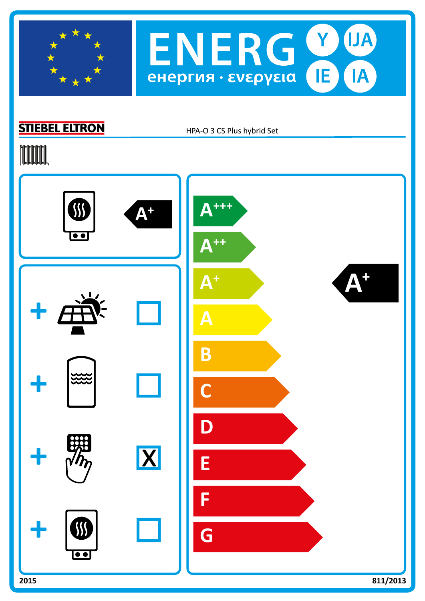



# **STIEBEL ELTRON**

HPA-O 3 CS Plus hybrid Set

# **TOOTAL**

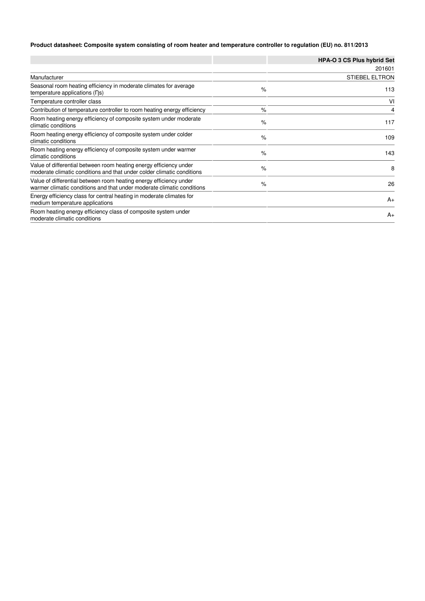### **Product datasheet: Composite system consisting of room heater and temperature controller to regulation (EU) no. 811/2013**

|                                                                                                                                              |      | <b>HPA-O 3 CS Plus hybrid Set</b> |
|----------------------------------------------------------------------------------------------------------------------------------------------|------|-----------------------------------|
|                                                                                                                                              |      | 201601                            |
| Manufacturer                                                                                                                                 |      | <b>STIEBEL ELTRON</b>             |
| Seasonal room heating efficiency in moderate climates for average<br>temperature applications $( \nabla \mathbf{s})$                         | $\%$ | 113                               |
| Temperature controller class                                                                                                                 |      | VI                                |
| Contribution of temperature controller to room heating energy efficiency                                                                     | $\%$ | 4                                 |
| Room heating energy efficiency of composite system under moderate<br>climatic conditions                                                     | $\%$ | 117                               |
| Room heating energy efficiency of composite system under colder<br>climatic conditions                                                       | $\%$ | 109                               |
| Room heating energy efficiency of composite system under warmer<br>climatic conditions                                                       | $\%$ | 143                               |
| Value of differential between room heating energy efficiency under<br>moderate climatic conditions and that under colder climatic conditions | $\%$ | 8                                 |
| Value of differential between room heating energy efficiency under<br>warmer climatic conditions and that under moderate climatic conditions | $\%$ | 26                                |
| Energy efficiency class for central heating in moderate climates for<br>medium temperature applications                                      |      | $A_{+}$                           |
| Room heating energy efficiency class of composite system under<br>moderate climatic conditions                                               |      | $A_{+}$                           |